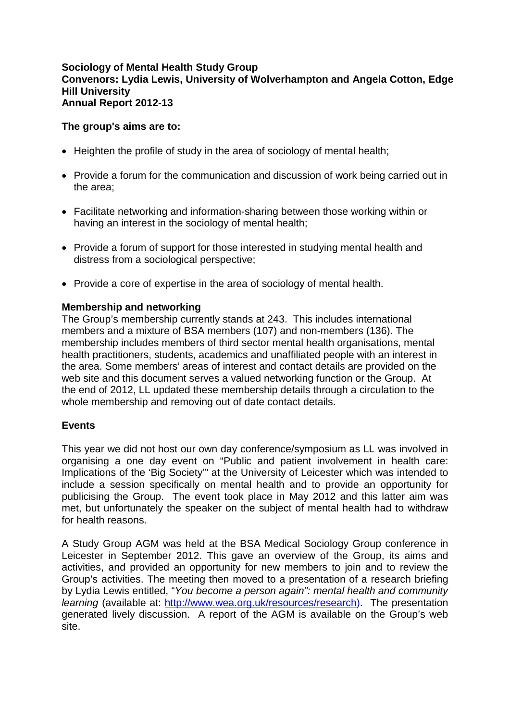## **Sociology of Mental Health Study Group Convenors: Lydia Lewis, University of Wolverhampton and Angela Cotton, Edge Hill University Annual Report 2012-13**

# **The group's aims are to:**

- Heighten the profile of study in the area of sociology of mental health;
- Provide a forum for the communication and discussion of work being carried out in the area;
- Facilitate networking and information-sharing between those working within or having an interest in the sociology of mental health;
- Provide a forum of support for those interested in studying mental health and distress from a sociological perspective;
- Provide a core of expertise in the area of sociology of mental health.

# **Membership and networking**

The Group's membership currently stands at 243. This includes international members and a mixture of BSA members (107) and non-members (136). The membership includes members of third sector mental health organisations, mental health practitioners, students, academics and unaffiliated people with an interest in the area. Some members' areas of interest and contact details are provided on the web site and this document serves a valued networking function or the Group. At the end of 2012, LL updated these membership details through a circulation to the whole membership and removing out of date contact details.

# **Events**

This year we did not host our own day conference/symposium as LL was involved in organising a one day event on "Public and patient involvement in health care: Implications of the 'Big Society'" at the University of Leicester which was intended to include a session specifically on mental health and to provide an opportunity for publicising the Group. The event took place in May 2012 and this latter aim was met, but unfortunately the speaker on the subject of mental health had to withdraw for health reasons.

A Study Group AGM was held at the BSA Medical Sociology Group conference in Leicester in September 2012. This gave an overview of the Group, its aims and activities, and provided an opportunity for new members to join and to review the Group's activities. The meeting then moved to a presentation of a research briefing by Lydia Lewis entitled, "*You become a person again": mental health and community learning* (available at: [http://www.wea.org.uk/resources/research\)](http://www.wea.org.uk/resources/research). The presentation generated lively discussion. A report of the AGM is available on the Group's web site.